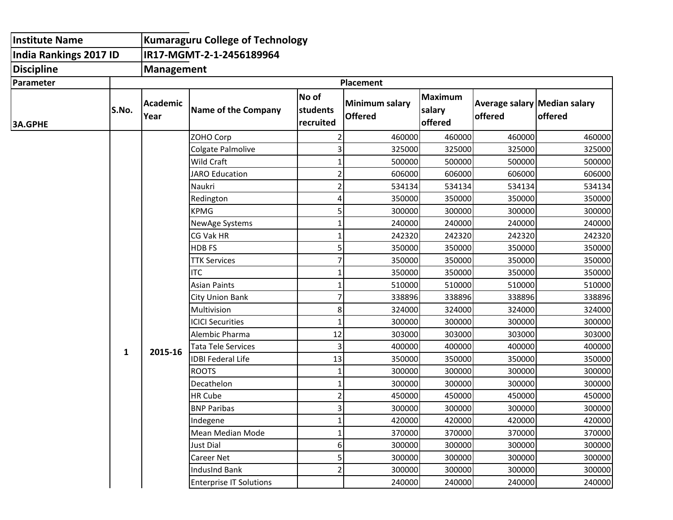| <b>Institute Name</b>         |       | <b>Kumaraguru College of Technology</b> |                                |                                |                                         |                              |                                         |         |  |
|-------------------------------|-------|-----------------------------------------|--------------------------------|--------------------------------|-----------------------------------------|------------------------------|-----------------------------------------|---------|--|
| <b>India Rankings 2017 ID</b> |       | IR17-MGMT-2-1-2456189964                |                                |                                |                                         |                              |                                         |         |  |
| <b>Discipline</b>             |       | <b>Management</b>                       |                                |                                |                                         |                              |                                         |         |  |
| Parameter                     |       | <b>Placement</b>                        |                                |                                |                                         |                              |                                         |         |  |
| <b>3A.GPHE</b>                | S.No. | Academic<br>Year                        | Name of the Company            | No of<br>students<br>recruited | <b>Minimum salary</b><br><b>Offered</b> | Maximum<br>salary<br>offered | Average salary Median salary<br>offered | offered |  |
|                               |       |                                         | ZOHO Corp                      | 2                              | 460000                                  | 460000                       | 460000                                  | 460000  |  |
|                               |       |                                         | Colgate Palmolive              | 3                              | 325000                                  | 325000                       | 325000                                  | 325000  |  |
|                               |       |                                         | Wild Craft                     | $\mathbf{1}$                   | 500000                                  | 500000                       | 500000                                  | 500000  |  |
|                               | 1     | 2015-16                                 | <b>JARO Education</b>          | $\overline{\mathbf{c}}$        | 606000                                  | 606000                       | 606000                                  | 606000  |  |
|                               |       |                                         | Naukri                         | $\overline{c}$                 | 534134                                  | 534134                       | 534134                                  | 534134  |  |
|                               |       |                                         | Redington                      | 4                              | 350000                                  | 350000                       | 350000                                  | 350000  |  |
|                               |       |                                         | <b>KPMG</b>                    | 5                              | 300000                                  | 300000                       | 300000                                  | 300000  |  |
|                               |       |                                         | NewAge Systems                 | 1                              | 240000                                  | 240000                       | 240000                                  | 240000  |  |
|                               |       |                                         | CG Vak HR                      | $\mathbf{1}$                   | 242320                                  | 242320                       | 242320                                  | 242320  |  |
|                               |       |                                         | <b>HDBFS</b>                   | 5                              | 350000                                  | 350000                       | 350000                                  | 350000  |  |
|                               |       |                                         | <b>TTK Services</b>            | 7                              | 350000                                  | 350000                       | 350000                                  | 350000  |  |
|                               |       |                                         | <b>ITC</b>                     | 1                              | 350000                                  | 350000                       | 350000                                  | 350000  |  |
|                               |       |                                         | <b>Asian Paints</b>            | $\mathbf 1$                    | 510000                                  | 510000                       | 510000                                  | 510000  |  |
|                               |       |                                         | <b>City Union Bank</b>         | 7                              | 338896                                  | 338896                       | 338896                                  | 338896  |  |
|                               |       |                                         | Multivision                    | 8                              | 324000                                  | 324000                       | 324000                                  | 324000  |  |
|                               |       |                                         | <b>ICICI Securities</b>        | $\mathbf 1$                    | 300000                                  | 300000                       | 300000                                  | 300000  |  |
|                               |       |                                         | Alembic Pharma                 | 12                             | 303000                                  | 303000                       | 303000                                  | 303000  |  |
|                               |       |                                         | <b>Tata Tele Services</b>      | 3                              | 400000                                  | 400000                       | 400000                                  | 400000  |  |
|                               |       |                                         | <b>IDBI Federal Life</b>       | 13                             | 350000                                  | 350000                       | 350000                                  | 350000  |  |
|                               |       |                                         | <b>ROOTS</b>                   | $\mathbf 1$                    | 300000                                  | 300000                       | 300000                                  | 300000  |  |
|                               |       |                                         | Decathelon                     | $\mathbf{1}$                   | 300000                                  | 300000                       | 300000                                  | 300000  |  |
|                               |       |                                         | HR Cube                        | $\overline{\mathbf{c}}$        | 450000                                  | 450000                       | 450000                                  | 450000  |  |
|                               |       |                                         | <b>BNP Paribas</b>             | 3                              | 300000                                  | 300000                       | 300000                                  | 300000  |  |
|                               |       |                                         | Indegene                       | $\mathbf{1}$                   | 420000                                  | 420000                       | 420000                                  | 420000  |  |
|                               |       |                                         | Mean Median Mode               | $\mathbf 1$                    | 370000                                  | 370000                       | 370000                                  | 370000  |  |
|                               |       |                                         | Just Dial                      | 6                              | 300000                                  | 300000                       | 300000                                  | 300000  |  |
|                               |       |                                         | Career Net                     | 5                              | 300000                                  | 300000                       | 300000                                  | 300000  |  |
|                               |       |                                         | IndusInd Bank                  | $\overline{c}$                 | 300000                                  | 300000                       | 300000                                  | 300000  |  |
|                               |       |                                         | <b>Enterprise IT Solutions</b> |                                | 240000                                  | 240000                       | 240000                                  | 240000  |  |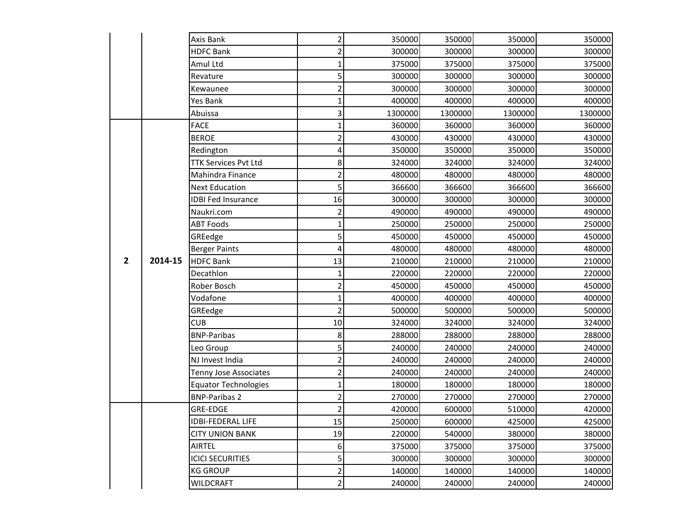|                |         | Axis Bank                   | $\mathsf{2}$            | 350000  | 350000  | 350000  | 350000  |
|----------------|---------|-----------------------------|-------------------------|---------|---------|---------|---------|
|                |         | <b>HDFC Bank</b>            | 2                       | 300000  | 300000  | 300000  | 300000  |
|                |         | Amul Ltd                    | 1                       | 375000  | 375000  | 375000  | 375000  |
|                |         | Revature                    | 5                       | 300000  | 300000  | 300000  | 300000  |
|                |         | Kewaunee                    | 2                       | 300000  | 300000  | 300000  | 300000  |
|                |         | Yes Bank                    | 1                       | 400000  | 400000  | 400000  | 400000  |
|                |         | Abuissa                     | 3                       | 1300000 | 1300000 | 1300000 | 1300000 |
|                |         | <b>FACE</b>                 | 1                       | 360000  | 360000  | 360000  | 360000  |
|                |         | <b>BEROE</b>                | 2                       | 430000  | 430000  | 430000  | 430000  |
|                |         | Redington                   | 4                       | 350000  | 350000  | 350000  | 350000  |
|                |         | <b>TTK Services Pvt Ltd</b> | 8                       | 324000  | 324000  | 324000  | 324000  |
|                |         | Mahindra Finance            | 2                       | 480000  | 480000  | 480000  | 480000  |
|                |         | <b>Next Education</b>       | 5                       | 366600  | 366600  | 366600  | 366600  |
|                |         | <b>IDBI Fed Insurance</b>   | 16                      | 300000  | 300000  | 300000  | 300000  |
|                |         | Naukri.com                  | 2                       | 490000  | 490000  | 490000  | 490000  |
|                |         | <b>ABT Foods</b>            | 1                       | 250000  | 250000  | 250000  | 250000  |
|                |         | GREedge                     | 5                       | 450000  | 450000  | 450000  | 450000  |
|                |         | <b>Berger Paints</b>        | 4                       | 480000  | 480000  | 480000  | 480000  |
| $\overline{2}$ | 2014-15 | <b>HDFC Bank</b>            | 13                      | 210000  | 210000  | 210000  | 210000  |
|                |         | Decathlon                   | $\mathbf 1$             | 220000  | 220000  | 220000  | 220000  |
|                |         | Rober Bosch                 | $\overline{\mathbf{c}}$ | 450000  | 450000  | 450000  | 450000  |
|                |         | Vodafone                    | 1                       | 400000  | 400000  | 400000  | 400000  |
|                |         | GREedge                     | $\overline{2}$          | 500000  | 500000  | 500000  | 500000  |
|                |         | <b>CUB</b>                  | $10\,$                  | 324000  | 324000  | 324000  | 324000  |
|                |         | <b>BNP-Paribas</b>          | 8                       | 288000  | 288000  | 288000  | 288000  |
|                |         | Leo Group                   | 5                       | 240000  | 240000  | 240000  | 240000  |
|                |         | NJ Invest India             | 2                       | 240000  | 240000  | 240000  | 240000  |
|                |         | Tenny Jose Associates       | 2                       | 240000  | 240000  | 240000  | 240000  |
|                |         | <b>Equator Technologies</b> | 1                       | 180000  | 180000  | 180000  | 180000  |
|                |         | <b>BNP-Paribas 2</b>        | 2                       | 270000  | 270000  | 270000  | 270000  |
|                |         | GRE-EDGE                    | 2                       | 420000  | 600000  | 510000  | 420000  |
|                |         | <b>IDBI-FEDERAL LIFE</b>    | 15                      | 250000  | 600000  | 425000  | 425000  |
|                |         | <b>CITY UNION BANK</b>      | 19                      | 220000  | 540000  | 380000  | 380000  |
|                |         | <b>AIRTEL</b>               | 6                       | 375000  | 375000  | 375000  | 375000  |
|                |         | <b>ICICI SECURITIES</b>     | 5                       | 300000  | 300000  | 300000  | 300000  |
|                |         | <b>KG GROUP</b>             | $\overline{\mathbf{c}}$ | 140000  | 140000  | 140000  | 140000  |
|                |         | <b>WILDCRAFT</b>            | $\mathbf{2}$            | 240000  | 240000  | 240000  | 240000  |